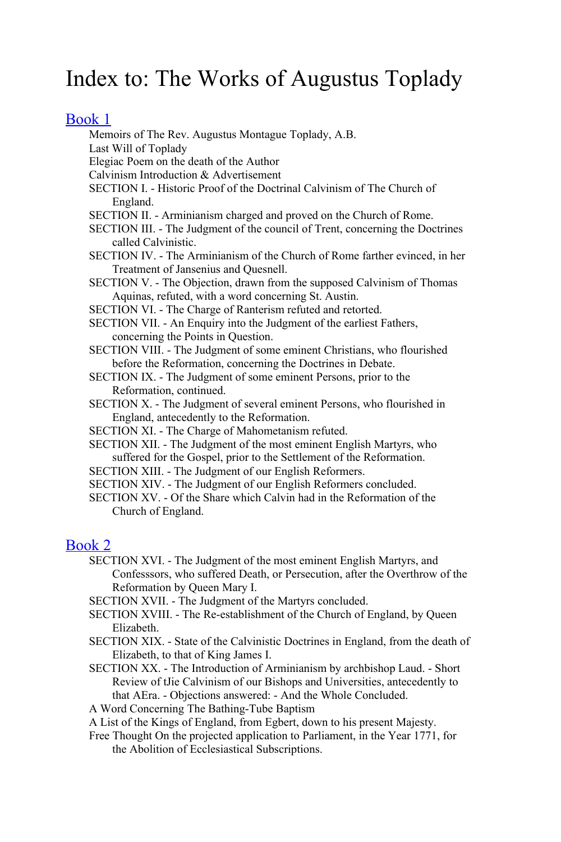# Index to: The Works of Augustus Toplady

### Book 1

Memoirs of The Rev. Augustus Montague Toplady, A.B. Last Will of Toplady Elegiac Poem on the death of the Author Calvinism Introduction & Advertisement SECTION I. - Historic Proof of the Doctrinal Calvinism of The Church of England. SECTION II. - Arminianism charged and proved on the Church of Rome. SECTION III. - The Judgment of the council of Trent, concerning the Doctrines called Calvinistic. SECTION IV. - The Arminianism of the Church of Rome farther evinced, in her Treatment of Jansenius and Quesnell. SECTION V. - The Objection, drawn from the supposed Calvinism of Thomas Aquinas, refuted, with a word concerning St. Austin. SECTION VI. - The Charge of Ranterism refuted and retorted. SECTION VII. - An Enquiry into the Judgment of the earliest Fathers, concerning the Points in Question. SECTION VIII. - The Judgment of some eminent Christians, who flourished before the Reformation, concerning the Doctrines in Debate. SECTION IX. - The Judgment of some eminent Persons, prior to the Reformation, continued. SECTION X. - The Judgment of several eminent Persons, who flourished in England, antecedently to the Reformation. SECTION XI. - The Charge of Mahometanism refuted. SECTION XII. - The Judgment of the most eminent English Martyrs, who suffered for the Gospel, prior to the Settlement of the Reformation. SECTION XIII. - The Judgment of our English Reformers. SECTION XIV. - The Judgment of our English Reformers concluded. SECTION XV. - Of the Share which Calvin had in the Reformation of the Church of England. Book 2 SECTION XVI. - The Judgment of the most eminent English Martyrs, and

Confesssors, who suffered Death, or Persecution, after the Overthrow of the Reformation by Queen Mary I.

SECTION XVII. - The Judgment of the Martyrs concluded.

- SECTION XVIII. The Re-establishment of the Church of England, by Queen Elizabeth.
- SECTION XIX. State of the Calvinistic Doctrines in England, from the death of Elizabeth, to that of King James I.
- SECTION XX. The Introduction of Arminianism by archbishop Laud. Short Review of tJie Calvinism of our Bishops and Universities, antecedently to that AEra. - Objections answered: - And the Whole Concluded.
- A Word Concerning The Bathing-Tube Baptism
- A List of the Kings of England, from Egbert, down to his present Majesty.
- Free Thought On the projected application to Parliament, in the Year 1771, for the Abolition of Ecclesiastical Subscriptions.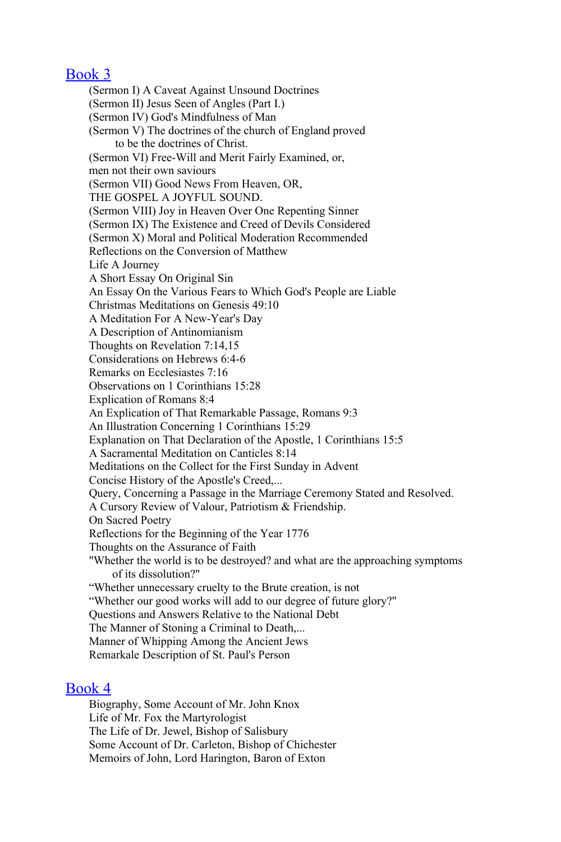## Book 3

(Sermon I) A Caveat Against Unsound Doctrines (Sermon II) Jesus Seen of Angles (Part I.) (Sermon IV) God's Mindfulness of Man (Sermon V) The doctrines of the church of England proved to be the doctrines of Christ. (Sermon VI) Free-Will and Merit Fairly Examined, or, men not their own saviours (Sermon VII) Good News From Heaven, OR, THE GOSPEL A JOYFUL SOUND. (Sermon VIII) Joy in Heaven Over One Repenting Sinner (Sermon IX) The Existence and Creed of Devils Considered (Sermon X) Moral and Political Moderation Recommended Reflections on the Conversion of Matthew Life A Journey A Short Essay On Original Sin An Essay On the Various Fears to Which God's People are Liable Christmas Meditations on Genesis 49:10 A Meditation For A New-Year's Day A Description of Antinomianism Thoughts on Revelation 7:14,15 Considerations on Hebrews 6:4-6 Remarks on Ecclesiastes 7:16 Observations on 1 Corinthians 15:28 Explication of Romans 8:4 An Explication of That Remarkable Passage, Romans 9:3 An Illustration Concerning 1 Corinthians 15:29 Explanation on That Declaration of the Apostle, 1 Corinthians 15:5 A Sacramental Meditation on Canticles 8:14 Meditations on the Collect for the First Sunday in Advent Concise History of the Apostle's Creed,... Query, Concerning a Passage in the Marriage Ceremony Stated and Resolved. A Cursory Review of Valour, Patriotism & Friendship. On Sacred Poetry Reflections for the Beginning of the Year 1776 Thoughts on the Assurance of Faith "Whether the world is to be destroyed? and what are the approaching symptoms of its dissolution?" "Whether unnecessary cruelty to the Brute creation, is not "Whether our good works will add to our degree of future glory?" Questions and Answers Relative to the National Debt The Manner of Stoning a Criminal to Death,... Manner of Whipping Among the Ancient Jews Remarkale Description of St. Paul's Person

#### Book 4

Biography, Some Account of Mr. John Knox Life of Mr. Fox the Martyrologist The Life of Dr. Jewel, Bishop of Salisbury Some Account of Dr. Carleton, Bishop of Chichester Memoirs of John, Lord Harington, Baron of Exton